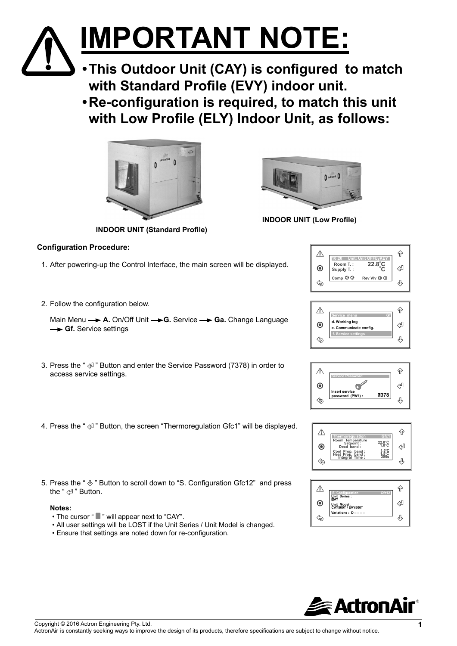# **IMPORTANT NOTE:**

- **•This Outdoor Unit (CAY) is configured to match with Standard Profile (EVY) indoor unit.**
- **•Re-configuration is required, to match this unit with Low Profile (ELY) Indoor Unit, as follows:**



**INDOOR UNIT (Standard Profile)**

# **Configuration Procedure:**

- 1. After powering-up the Control Interface, the main screen will be displayed.
- 2. Follow the configuration below.

Main Menu  $\rightarrow$  A. On/Off Unit  $\rightarrow$  G. Service  $\rightarrow$  Ga. Change Language  $→$  **Gf.** Service settings

- 3. Press the "  $4$ " Button and enter the Service Password (7378) in order to  $\alpha$  access service settings.
- 4. Press the "  $\ll 1$ " Button, the screen "Thermoregulation Gfc1" will be displayed.
- 5. Press the "  $\&$  " Button to scroll down to "S. Configuration Gfc12" and press the "  $\textcircled{4}$ " Button.

### **Notes:**

- The cursor "  $\blacksquare$  " will appear next to "CAY".
- All user settings will be LOST if the Unit Series / Unit Model is changed.
- Ensure that settings are noted down for re-configuration.



**INDOOR UNIT (Low Profile)**

|                  | 10:20                  | Unit: Unit OFFbyKEY |  |
|------------------|------------------------|---------------------|--|
| $\ddot{\bullet}$ | Room T.:<br>Supply T.: | $22.8^{\circ}$ C    |  |
|                  | Comp $\otimes \otimes$ | Rev VIv ◎ ◎         |  |

|    | Service menu<br>œĩ.                      |  |
|----|------------------------------------------|--|
| Ψ, | d. Working log<br>e. Communicate config. |  |
|    | f. Service settings                      |  |